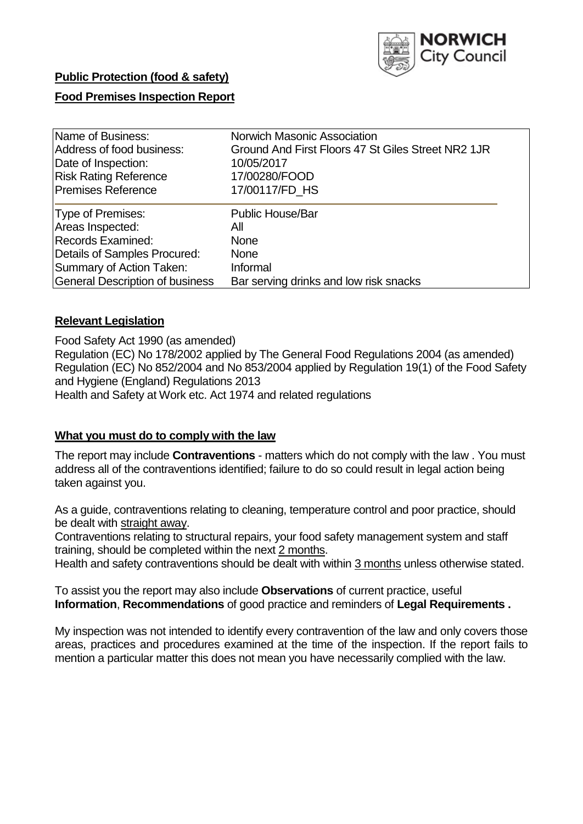

# **Public Protection (food & safety)**

# **Food Premises Inspection Report**

| Name of Business:                      | Norwich Masonic Association                        |  |  |  |  |  |
|----------------------------------------|----------------------------------------------------|--|--|--|--|--|
| Address of food business:              | Ground And First Floors 47 St Giles Street NR2 1JR |  |  |  |  |  |
| Date of Inspection:                    | 10/05/2017                                         |  |  |  |  |  |
| <b>Risk Rating Reference</b>           | 17/00280/FOOD                                      |  |  |  |  |  |
| <b>Premises Reference</b>              | 17/00117/FD HS                                     |  |  |  |  |  |
| Type of Premises:                      | <b>Public House/Bar</b>                            |  |  |  |  |  |
| Areas Inspected:                       | All                                                |  |  |  |  |  |
| <b>Records Examined:</b>               | <b>None</b>                                        |  |  |  |  |  |
| Details of Samples Procured:           | <b>None</b>                                        |  |  |  |  |  |
| Summary of Action Taken:               | Informal                                           |  |  |  |  |  |
| <b>General Description of business</b> | Bar serving drinks and low risk snacks             |  |  |  |  |  |

# **Relevant Legislation**

Food Safety Act 1990 (as amended) Regulation (EC) No 178/2002 applied by The General Food Regulations 2004 (as amended) Regulation (EC) No 852/2004 and No 853/2004 applied by Regulation 19(1) of the Food Safety and Hygiene (England) Regulations 2013 Health and Safety at Work etc. Act 1974 and related regulations

#### **What you must do to comply with the law**

The report may include **Contraventions** - matters which do not comply with the law . You must address all of the contraventions identified; failure to do so could result in legal action being taken against you.

As a guide, contraventions relating to cleaning, temperature control and poor practice, should be dealt with straight away.

Contraventions relating to structural repairs, your food safety management system and staff training, should be completed within the next 2 months.

Health and safety contraventions should be dealt with within 3 months unless otherwise stated.

To assist you the report may also include **Observations** of current practice, useful **Information**, **Recommendations** of good practice and reminders of **Legal Requirements .**

My inspection was not intended to identify every contravention of the law and only covers those areas, practices and procedures examined at the time of the inspection. If the report fails to mention a particular matter this does not mean you have necessarily complied with the law.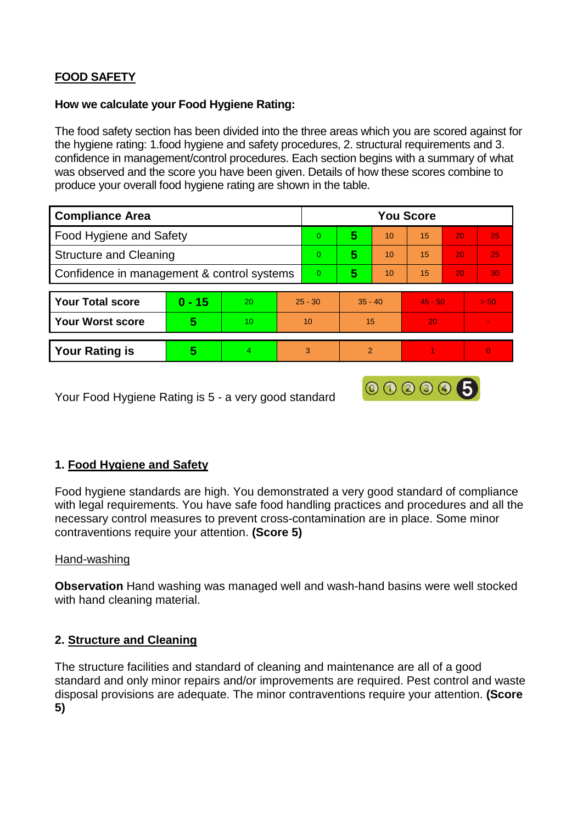# **FOOD SAFETY**

## **How we calculate your Food Hygiene Rating:**

The food safety section has been divided into the three areas which you are scored against for the hygiene rating: 1.food hygiene and safety procedures, 2. structural requirements and 3. confidence in management/control procedures. Each section begins with a summary of what was observed and the score you have been given. Details of how these scores combine to produce your overall food hygiene rating are shown in the table.

| <b>Compliance Area</b>                     |          |    |           | <b>You Score</b> |                |    |           |    |      |  |  |
|--------------------------------------------|----------|----|-----------|------------------|----------------|----|-----------|----|------|--|--|
| Food Hygiene and Safety                    |          |    |           | $\overline{0}$   | 5              | 10 | 15        | 20 | 25   |  |  |
| <b>Structure and Cleaning</b>              |          |    |           | $\Omega$         | 5              | 10 | 15        | 20 | 25   |  |  |
| Confidence in management & control systems |          |    | $\Omega$  | 5                | 10             | 15 | 20        | 30 |      |  |  |
|                                            |          |    |           |                  |                |    |           |    |      |  |  |
| <b>Your Total score</b>                    | $0 - 15$ | 20 | $25 - 30$ |                  | $35 - 40$      |    | $45 - 50$ |    | > 50 |  |  |
| <b>Your Worst score</b>                    | 5        | 10 | 10        |                  | 15             |    | 20        |    |      |  |  |
|                                            |          |    |           |                  |                |    |           |    |      |  |  |
| <b>Your Rating is</b>                      | 5        | 4  | 3         |                  | $\overline{2}$ |    |           |    | 0    |  |  |

Your Food Hygiene Rating is 5 - a very good standard

# **1. Food Hygiene and Safety**

Food hygiene standards are high. You demonstrated a very good standard of compliance with legal requirements. You have safe food handling practices and procedures and all the necessary control measures to prevent cross-contamination are in place. Some minor contraventions require your attention. **(Score 5)**

000005

#### Hand-washing

**Observation** Hand washing was managed well and wash-hand basins were well stocked with hand cleaning material.

# **2. Structure and Cleaning**

The structure facilities and standard of cleaning and maintenance are all of a good standard and only minor repairs and/or improvements are required. Pest control and waste disposal provisions are adequate. The minor contraventions require your attention. **(Score 5)**